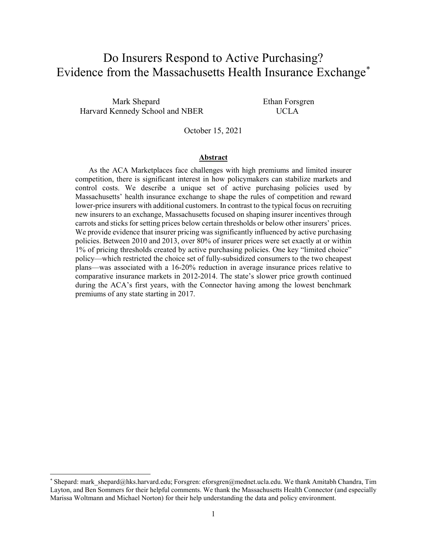# Do Insurers Respond to Active Purchasing? Evidence from the Massachusetts Health Insurance Exchange[\\*](#page-0-0)

Mark Shepard Ethan Forsgren Harvard Kennedy School and NBER UCLA

October 15, 2021

#### **Abstract**

 As the ACA Marketplaces face challenges with high premiums and limited insurer competition, there is significant interest in how policymakers can stabilize markets and control costs. We describe a unique set of active purchasing policies used by Massachusetts' health insurance exchange to shape the rules of competition and reward lower-price insurers with additional customers. In contrast to the typical focus on recruiting new insurers to an exchange, Massachusetts focused on shaping insurer incentives through carrots and sticks for setting prices below certain thresholds or below other insurers' prices. We provide evidence that insurer pricing was significantly influenced by active purchasing policies. Between 2010 and 2013, over 80% of insurer prices were set exactly at or within 1% of pricing thresholds created by active purchasing policies. One key "limited choice" policy—which restricted the choice set of fully-subsidized consumers to the two cheapest plans—was associated with a 16-20% reduction in average insurance prices relative to comparative insurance markets in 2012-2014. The state's slower price growth continued during the ACA's first years, with the Connector having among the lowest benchmark premiums of any state starting in 2017.

<span id="page-0-0"></span><sup>\*</sup> Shepard: mark\_shepard@hks.harvard.edu; Forsgren: eforsgren@mednet.ucla.edu. We thank Amitabh Chandra, Tim Layton, and Ben Sommers for their helpful comments. We thank the Massachusetts Health Connector (and especially Marissa Woltmann and Michael Norton) for their help understanding the data and policy environment.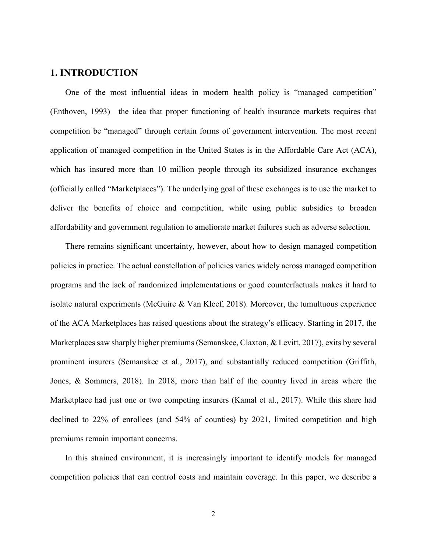## **1. INTRODUCTION**

One of the most influential ideas in modern health policy is "managed competition" (Enthoven, 1993)—the idea that proper functioning of health insurance markets requires that competition be "managed" through certain forms of government intervention. The most recent application of managed competition in the United States is in the Affordable Care Act (ACA), which has insured more than 10 million people through its subsidized insurance exchanges (officially called "Marketplaces"). The underlying goal of these exchanges is to use the market to deliver the benefits of choice and competition, while using public subsidies to broaden affordability and government regulation to ameliorate market failures such as adverse selection.

There remains significant uncertainty, however, about how to design managed competition policies in practice. The actual constellation of policies varies widely across managed competition programs and the lack of randomized implementations or good counterfactuals makes it hard to isolate natural experiments (McGuire & Van Kleef, 2018). Moreover, the tumultuous experience of the ACA Marketplaces has raised questions about the strategy's efficacy. Starting in 2017, the Marketplaces saw sharply higher premiums (Semanskee, Claxton, & Levitt, 2017), exits by several prominent insurers (Semanskee et al., 2017), and substantially reduced competition (Griffith, Jones, & Sommers, 2018). In 2018, more than half of the country lived in areas where the Marketplace had just one or two competing insurers (Kamal et al., 2017). While this share had declined to 22% of enrollees (and 54% of counties) by 2021, limited competition and high premiums remain important concerns.

In this strained environment, it is increasingly important to identify models for managed competition policies that can control costs and maintain coverage. In this paper, we describe a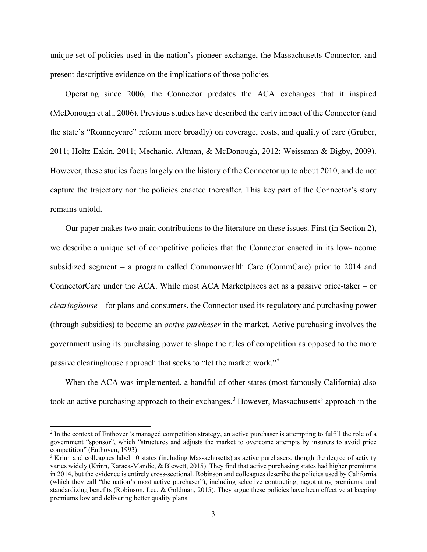unique set of policies used in the nation's pioneer exchange, the Massachusetts Connector, and present descriptive evidence on the implications of those policies.

Operating since 2006, the Connector predates the ACA exchanges that it inspired (McDonough et al., 2006). Previous studies have described the early impact of the Connector (and the state's "Romneycare" reform more broadly) on coverage, costs, and quality of care (Gruber, 2011; Holtz-Eakin, 2011; Mechanic, Altman, & McDonough, 2012; Weissman & Bigby, 2009). However, these studies focus largely on the history of the Connector up to about 2010, and do not capture the trajectory nor the policies enacted thereafter. This key part of the Connector's story remains untold.

Our paper makes two main contributions to the literature on these issues. First (in Section 2), we describe a unique set of competitive policies that the Connector enacted in its low-income subsidized segment – a program called Commonwealth Care (CommCare) prior to 2014 and ConnectorCare under the ACA. While most ACA Marketplaces act as a passive price-taker – or *clearinghouse* – for plans and consumers, the Connector used its regulatory and purchasing power (through subsidies) to become an *active purchaser* in the market. Active purchasing involves the government using its purchasing power to shape the rules of competition as opposed to the more passive clearinghouse approach that seeks to "let the market work."[2](#page-2-0)

When the ACA was implemented, a handful of other states (most famously California) also took an active purchasing approach to their exchanges.<sup>[3](#page-2-1)</sup> However, Massachusetts' approach in the

<span id="page-2-0"></span><sup>&</sup>lt;sup>2</sup> In the context of Enthoven's managed competition strategy, an active purchaser is attempting to fulfill the role of a government "sponsor", which "structures and adjusts the market to overcome attempts by insurers to avoid price competition" (Enthoven, 1993).

<span id="page-2-1"></span> $3$  Krinn and colleagues label 10 states (including Massachusetts) as active purchasers, though the degree of activity varies widely (Krinn, Karaca-Mandic, & Blewett, 2015). They find that active purchasing states had higher premiums in 2014, but the evidence is entirely cross-sectional. Robinson and colleagues describe the policies used by California (which they call "the nation's most active purchaser"), including selective contracting, negotiating premiums, and standardizing benefits (Robinson, Lee, & Goldman, 2015). They argue these policies have been effective at keeping premiums low and delivering better quality plans.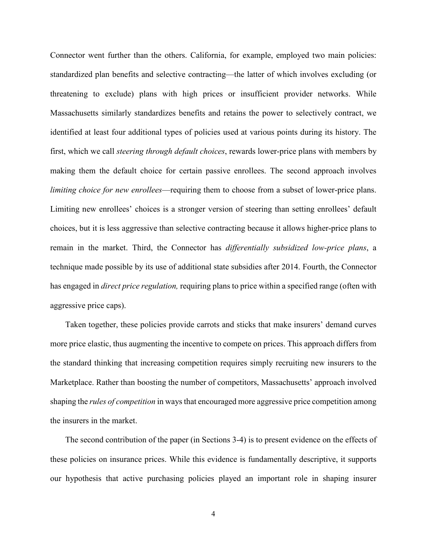Connector went further than the others. California, for example, employed two main policies: standardized plan benefits and selective contracting—the latter of which involves excluding (or threatening to exclude) plans with high prices or insufficient provider networks. While Massachusetts similarly standardizes benefits and retains the power to selectively contract, we identified at least four additional types of policies used at various points during its history. The first, which we call *steering through default choices*, rewards lower-price plans with members by making them the default choice for certain passive enrollees. The second approach involves *limiting choice for new enrollees*—requiring them to choose from a subset of lower-price plans. Limiting new enrollees' choices is a stronger version of steering than setting enrollees' default choices, but it is less aggressive than selective contracting because it allows higher-price plans to remain in the market. Third, the Connector has *differentially subsidized low-price plans*, a technique made possible by its use of additional state subsidies after 2014. Fourth, the Connector has engaged in *direct price regulation,* requiring plans to price within a specified range (often with aggressive price caps).

Taken together, these policies provide carrots and sticks that make insurers' demand curves more price elastic, thus augmenting the incentive to compete on prices. This approach differs from the standard thinking that increasing competition requires simply recruiting new insurers to the Marketplace. Rather than boosting the number of competitors, Massachusetts' approach involved shaping the *rules of competition* in ways that encouraged more aggressive price competition among the insurers in the market.

The second contribution of the paper (in Sections 3-4) is to present evidence on the effects of these policies on insurance prices. While this evidence is fundamentally descriptive, it supports our hypothesis that active purchasing policies played an important role in shaping insurer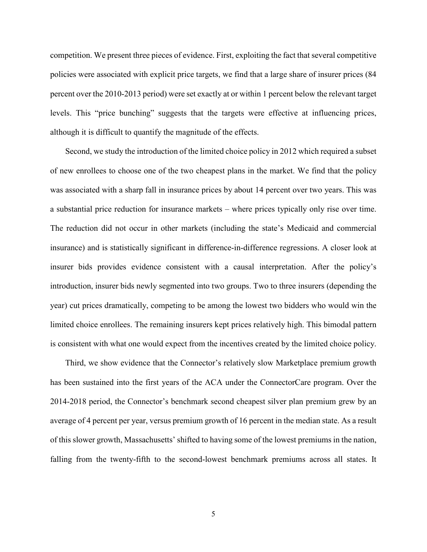competition. We present three pieces of evidence. First, exploiting the fact that several competitive policies were associated with explicit price targets, we find that a large share of insurer prices (84 percent over the 2010-2013 period) were set exactly at or within 1 percent below the relevant target levels. This "price bunching" suggests that the targets were effective at influencing prices, although it is difficult to quantify the magnitude of the effects.

Second, we study the introduction of the limited choice policy in 2012 which required a subset of new enrollees to choose one of the two cheapest plans in the market. We find that the policy was associated with a sharp fall in insurance prices by about 14 percent over two years. This was a substantial price reduction for insurance markets – where prices typically only rise over time. The reduction did not occur in other markets (including the state's Medicaid and commercial insurance) and is statistically significant in difference-in-difference regressions. A closer look at insurer bids provides evidence consistent with a causal interpretation. After the policy's introduction, insurer bids newly segmented into two groups. Two to three insurers (depending the year) cut prices dramatically, competing to be among the lowest two bidders who would win the limited choice enrollees. The remaining insurers kept prices relatively high. This bimodal pattern is consistent with what one would expect from the incentives created by the limited choice policy.

Third, we show evidence that the Connector's relatively slow Marketplace premium growth has been sustained into the first years of the ACA under the ConnectorCare program. Over the 2014-2018 period, the Connector's benchmark second cheapest silver plan premium grew by an average of 4 percent per year, versus premium growth of 16 percent in the median state. As a result of this slower growth, Massachusetts' shifted to having some of the lowest premiums in the nation, falling from the twenty-fifth to the second-lowest benchmark premiums across all states. It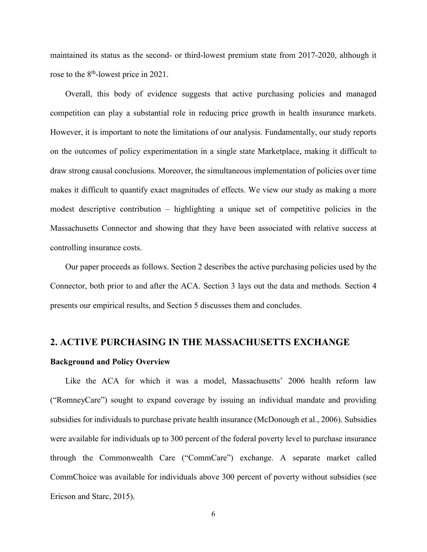maintained its status as the second- or third-lowest premium state from 2017-2020, although it rose to the 8<sup>th</sup>-lowest price in 2021.

Overall, this body of evidence suggests that active purchasing policies and managed competition can play a substantial role in reducing price growth in health insurance markets. However, it is important to note the limitations of our analysis. Fundamentally, our study reports on the outcomes of policy experimentation in a single state Marketplace, making it difficult to draw strong causal conclusions. Moreover, the simultaneous implementation of policies over time makes it difficult to quantify exact magnitudes of effects. We view our study as making a more modest descriptive contribution – highlighting a unique set of competitive policies in the Massachusetts Connector and showing that they have been associated with relative success at controlling insurance costs.

Our paper proceeds as follows. Section 2 describes the active purchasing policies used by the Connector, both prior to and after the ACA. Section 3 lays out the data and methods. Section 4 presents our empirical results, and Section 5 discusses them and concludes.

## **2. ACTIVE PURCHASING IN THE MASSACHUSETTS EXCHANGE**

#### **Background and Policy Overview**

Like the ACA for which it was a model, Massachusetts' 2006 health reform law ("RomneyCare") sought to expand coverage by issuing an individual mandate and providing subsidies for individuals to purchase private health insurance (McDonough et al., 2006). Subsidies were available for individuals up to 300 percent of the federal poverty level to purchase insurance through the Commonwealth Care ("CommCare") exchange. A separate market called CommChoice was available for individuals above 300 percent of poverty without subsidies (see Ericson and Starc, 2015).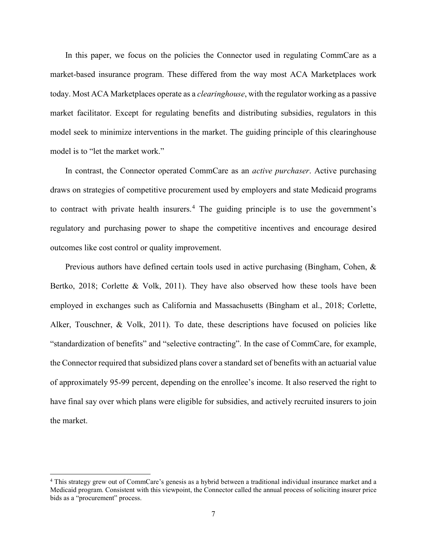In this paper, we focus on the policies the Connector used in regulating CommCare as a market-based insurance program. These differed from the way most ACA Marketplaces work today. Most ACA Marketplaces operate as a *clearinghouse*, with the regulator working as a passive market facilitator. Except for regulating benefits and distributing subsidies, regulators in this model seek to minimize interventions in the market. The guiding principle of this clearinghouse model is to "let the market work."

In contrast, the Connector operated CommCare as an *active purchaser*. Active purchasing draws on strategies of competitive procurement used by employers and state Medicaid programs to contract with private health insurers.<sup>[4](#page-6-0)</sup> The guiding principle is to use the government's regulatory and purchasing power to shape the competitive incentives and encourage desired outcomes like cost control or quality improvement.

Previous authors have defined certain tools used in active purchasing (Bingham, Cohen, & Bertko, 2018; Corlette & Volk, 2011). They have also observed how these tools have been employed in exchanges such as California and Massachusetts (Bingham et al., 2018; Corlette, Alker, Touschner, & Volk, 2011). To date, these descriptions have focused on policies like "standardization of benefits" and "selective contracting". In the case of CommCare, for example, the Connector required that subsidized plans cover a standard set of benefits with an actuarial value of approximately 95-99 percent, depending on the enrollee's income. It also reserved the right to have final say over which plans were eligible for subsidies, and actively recruited insurers to join the market.

<span id="page-6-0"></span> <sup>4</sup> This strategy grew out of CommCare's genesis as a hybrid between a traditional individual insurance market and a Medicaid program. Consistent with this viewpoint, the Connector called the annual process of soliciting insurer price bids as a "procurement" process.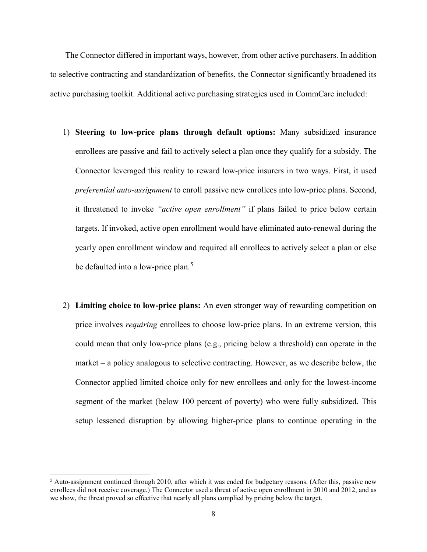The Connector differed in important ways, however, from other active purchasers. In addition to selective contracting and standardization of benefits, the Connector significantly broadened its active purchasing toolkit. Additional active purchasing strategies used in CommCare included:

- 1) **Steering to low-price plans through default options:** Many subsidized insurance enrollees are passive and fail to actively select a plan once they qualify for a subsidy. The Connector leveraged this reality to reward low-price insurers in two ways. First, it used *preferential auto-assignment* to enroll passive new enrollees into low-price plans. Second, it threatened to invoke *"active open enrollment"* if plans failed to price below certain targets. If invoked, active open enrollment would have eliminated auto-renewal during the yearly open enrollment window and required all enrollees to actively select a plan or else be defaulted into a low-price plan.<sup>[5](#page-7-0)</sup>
- 2) **Limiting choice to low-price plans:** An even stronger way of rewarding competition on price involves *requiring* enrollees to choose low-price plans. In an extreme version, this could mean that only low-price plans (e.g., pricing below a threshold) can operate in the market – a policy analogous to selective contracting. However, as we describe below, the Connector applied limited choice only for new enrollees and only for the lowest-income segment of the market (below 100 percent of poverty) who were fully subsidized. This setup lessened disruption by allowing higher-price plans to continue operating in the

<span id="page-7-0"></span> $<sup>5</sup>$  Auto-assignment continued through 2010, after which it was ended for budgetary reasons. (After this, passive new</sup> enrollees did not receive coverage.) The Connector used a threat of active open enrollment in 2010 and 2012, and as we show, the threat proved so effective that nearly all plans complied by pricing below the target.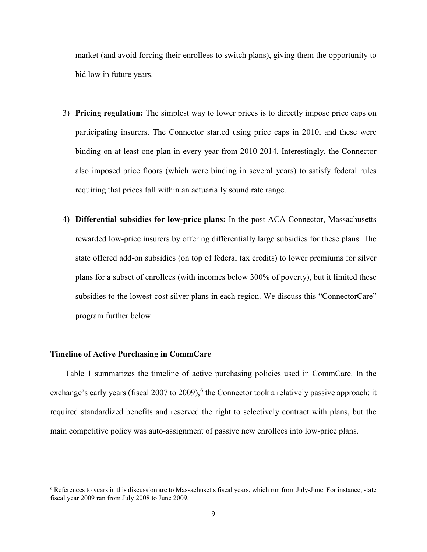market (and avoid forcing their enrollees to switch plans), giving them the opportunity to bid low in future years.

- 3) **Pricing regulation:** The simplest way to lower prices is to directly impose price caps on participating insurers. The Connector started using price caps in 2010, and these were binding on at least one plan in every year from 2010-2014. Interestingly, the Connector also imposed price floors (which were binding in several years) to satisfy federal rules requiring that prices fall within an actuarially sound rate range.
- 4) **Differential subsidies for low-price plans:** In the post-ACA Connector, Massachusetts rewarded low-price insurers by offering differentially large subsidies for these plans. The state offered add-on subsidies (on top of federal tax credits) to lower premiums for silver plans for a subset of enrollees (with incomes below 300% of poverty), but it limited these subsidies to the lowest-cost silver plans in each region. We discuss this "ConnectorCare" program further below.

#### **Timeline of Active Purchasing in CommCare**

Table 1 summarizes the timeline of active purchasing policies used in CommCare. In the exchange's early years (fiscal 2007 to 2009),<sup>[6](#page-8-0)</sup> the Connector took a relatively passive approach: it required standardized benefits and reserved the right to selectively contract with plans, but the main competitive policy was auto-assignment of passive new enrollees into low-price plans.

<span id="page-8-0"></span> <sup>6</sup> References to years in this discussion are to Massachusetts fiscal years, which run from July-June. For instance, state fiscal year 2009 ran from July 2008 to June 2009.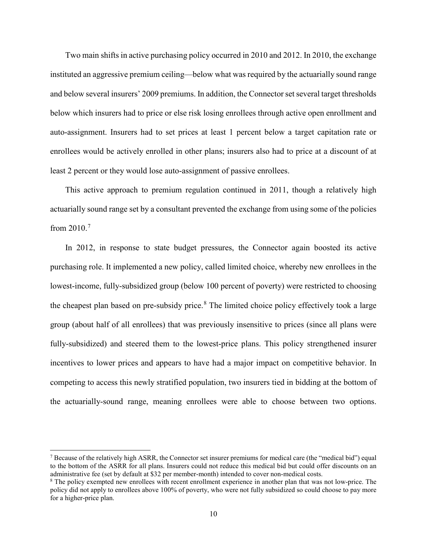Two main shifts in active purchasing policy occurred in 2010 and 2012. In 2010, the exchange instituted an aggressive premium ceiling—below what was required by the actuarially sound range and below several insurers' 2009 premiums. In addition, the Connector set several target thresholds below which insurers had to price or else risk losing enrollees through active open enrollment and auto-assignment. Insurers had to set prices at least 1 percent below a target capitation rate or enrollees would be actively enrolled in other plans; insurers also had to price at a discount of at least 2 percent or they would lose auto-assignment of passive enrollees.

This active approach to premium regulation continued in 2011, though a relatively high actuarially sound range set by a consultant prevented the exchange from using some of the policies from 2010. [7](#page-9-0)

In 2012, in response to state budget pressures, the Connector again boosted its active purchasing role. It implemented a new policy, called limited choice, whereby new enrollees in the lowest-income, fully-subsidized group (below 100 percent of poverty) were restricted to choosing the cheapest plan based on pre-subsidy price.<sup>[8](#page-9-1)</sup> The limited choice policy effectively took a large group (about half of all enrollees) that was previously insensitive to prices (since all plans were fully-subsidized) and steered them to the lowest-price plans. This policy strengthened insurer incentives to lower prices and appears to have had a major impact on competitive behavior. In competing to access this newly stratified population, two insurers tied in bidding at the bottom of the actuarially-sound range, meaning enrollees were able to choose between two options.

<span id="page-9-0"></span><sup>&</sup>lt;sup>7</sup> Because of the relatively high ASRR, the Connector set insurer premiums for medical care (the "medical bid") equal to the bottom of the ASRR for all plans. Insurers could not reduce this medical bid but could offer discounts on an administrative fee (set by default at \$32 per member-month) intended to cover non-medical costs.

<span id="page-9-1"></span><sup>&</sup>lt;sup>8</sup> The policy exempted new enrollees with recent enrollment experience in another plan that was not low-price. The policy did not apply to enrollees above 100% of poverty, who were not fully subsidized so could choose to pay more for a higher-price plan.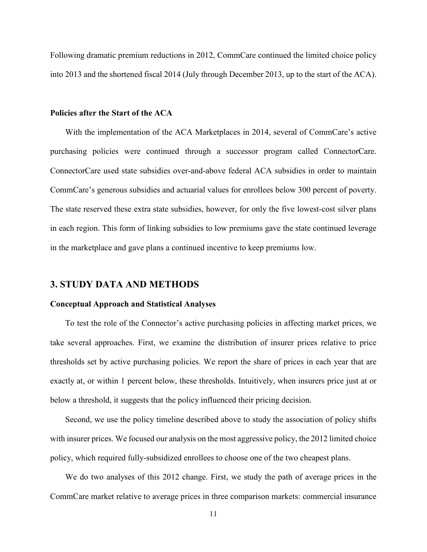Following dramatic premium reductions in 2012, CommCare continued the limited choice policy into 2013 and the shortened fiscal 2014 (July through December 2013, up to the start of the ACA).

#### **Policies after the Start of the ACA**

With the implementation of the ACA Marketplaces in 2014, several of CommCare's active purchasing policies were continued through a successor program called ConnectorCare. ConnectorCare used state subsidies over-and-above federal ACA subsidies in order to maintain CommCare's generous subsidies and actuarial values for enrollees below 300 percent of poverty. The state reserved these extra state subsidies, however, for only the five lowest-cost silver plans in each region. This form of linking subsidies to low premiums gave the state continued leverage in the marketplace and gave plans a continued incentive to keep premiums low.

### **3. STUDY DATA AND METHODS**

#### **Conceptual Approach and Statistical Analyses**

To test the role of the Connector's active purchasing policies in affecting market prices, we take several approaches. First, we examine the distribution of insurer prices relative to price thresholds set by active purchasing policies. We report the share of prices in each year that are exactly at, or within 1 percent below, these thresholds. Intuitively, when insurers price just at or below a threshold, it suggests that the policy influenced their pricing decision.

Second, we use the policy timeline described above to study the association of policy shifts with insurer prices. We focused our analysis on the most aggressive policy, the 2012 limited choice policy, which required fully-subsidized enrollees to choose one of the two cheapest plans.

We do two analyses of this 2012 change. First, we study the path of average prices in the CommCare market relative to average prices in three comparison markets: commercial insurance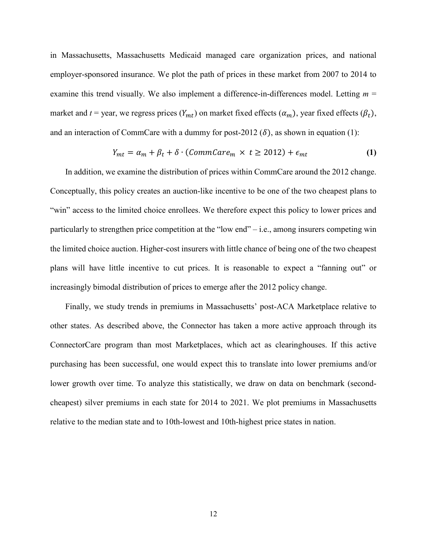in Massachusetts, Massachusetts Medicaid managed care organization prices, and national employer-sponsored insurance. We plot the path of prices in these market from 2007 to 2014 to examine this trend visually. We also implement a difference-in-differences model. Letting  $m =$ market and *t* = year, we regress prices  $(Y_{mt})$  on market fixed effects  $(\alpha_m)$ , year fixed effects  $(\beta_t)$ , and an interaction of CommCare with a dummy for post-2012  $(\delta)$ , as shown in equation (1):

$$
Y_{mt} = \alpha_m + \beta_t + \delta \cdot (CommCare_m \times t \ge 2012) + \epsilon_{mt}
$$
 (1)

In addition, we examine the distribution of prices within CommCare around the 2012 change. Conceptually, this policy creates an auction-like incentive to be one of the two cheapest plans to "win" access to the limited choice enrollees. We therefore expect this policy to lower prices and particularly to strengthen price competition at the "low end" – i.e., among insurers competing win the limited choice auction. Higher-cost insurers with little chance of being one of the two cheapest plans will have little incentive to cut prices. It is reasonable to expect a "fanning out" or increasingly bimodal distribution of prices to emerge after the 2012 policy change.

Finally, we study trends in premiums in Massachusetts' post-ACA Marketplace relative to other states. As described above, the Connector has taken a more active approach through its ConnectorCare program than most Marketplaces, which act as clearinghouses. If this active purchasing has been successful, one would expect this to translate into lower premiums and/or lower growth over time. To analyze this statistically, we draw on data on benchmark (secondcheapest) silver premiums in each state for 2014 to 2021. We plot premiums in Massachusetts relative to the median state and to 10th-lowest and 10th-highest price states in nation.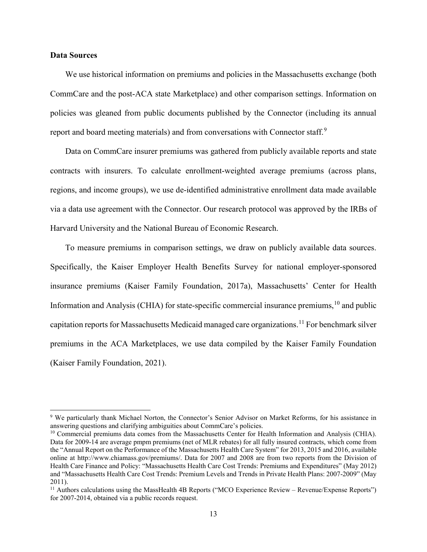#### **Data Sources**

We use historical information on premiums and policies in the Massachusetts exchange (both CommCare and the post-ACA state Marketplace) and other comparison settings. Information on policies was gleaned from public documents published by the Connector (including its annual report and board meeting materials) and from conversations with Connector staff.<sup>[9](#page-12-0)</sup>

Data on CommCare insurer premiums was gathered from publicly available reports and state contracts with insurers. To calculate enrollment-weighted average premiums (across plans, regions, and income groups), we use de-identified administrative enrollment data made available via a data use agreement with the Connector. Our research protocol was approved by the IRBs of Harvard University and the National Bureau of Economic Research.

To measure premiums in comparison settings, we draw on publicly available data sources. Specifically, the Kaiser Employer Health Benefits Survey for national employer-sponsored insurance premiums (Kaiser Family Foundation, 2017a), Massachusetts' Center for Health Information and Analysis (CHIA) for state-specific commercial insurance premiums, <sup>[10](#page-12-1)</sup> and public capitation reports for Massachusetts Medicaid managed care organizations. [11](#page-12-2) For benchmark silver premiums in the ACA Marketplaces, we use data compiled by the Kaiser Family Foundation (Kaiser Family Foundation, 2021).

<span id="page-12-0"></span> <sup>9</sup> We particularly thank Michael Norton, the Connector's Senior Advisor on Market Reforms, for his assistance in answering questions and clarifying ambiguities about CommCare's policies.

<span id="page-12-1"></span><sup>&</sup>lt;sup>10</sup> Commercial premiums data comes from the Massachusetts Center for Health Information and Analysis (CHIA). Data for 2009-14 are average pmpm premiums (net of MLR rebates) for all fully insured contracts, which come from the "Annual Report on the Performance of the Massachusetts Health Care System" for 2013, 2015 and 2016, available online at http://www.chiamass.gov/premiums/. Data for 2007 and 2008 are from two reports from the Division of Health Care Finance and Policy: "Massachusetts Health Care Cost Trends: Premiums and Expenditures" (May 2012) and "Massachusetts Health Care Cost Trends: Premium Levels and Trends in Private Health Plans: 2007-2009" (May 2011).

<span id="page-12-2"></span> $11$  Authors calculations using the MassHealth 4B Reports ("MCO Experience Review – Revenue/Expense Reports") for 2007-2014, obtained via a public records request.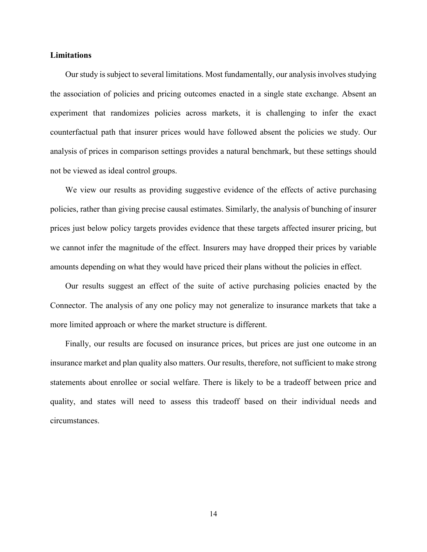#### **Limitations**

Our study is subject to several limitations. Most fundamentally, our analysis involves studying the association of policies and pricing outcomes enacted in a single state exchange. Absent an experiment that randomizes policies across markets, it is challenging to infer the exact counterfactual path that insurer prices would have followed absent the policies we study. Our analysis of prices in comparison settings provides a natural benchmark, but these settings should not be viewed as ideal control groups.

We view our results as providing suggestive evidence of the effects of active purchasing policies, rather than giving precise causal estimates. Similarly, the analysis of bunching of insurer prices just below policy targets provides evidence that these targets affected insurer pricing, but we cannot infer the magnitude of the effect. Insurers may have dropped their prices by variable amounts depending on what they would have priced their plans without the policies in effect.

Our results suggest an effect of the suite of active purchasing policies enacted by the Connector. The analysis of any one policy may not generalize to insurance markets that take a more limited approach or where the market structure is different.

Finally, our results are focused on insurance prices, but prices are just one outcome in an insurance market and plan quality also matters. Our results, therefore, not sufficient to make strong statements about enrollee or social welfare. There is likely to be a tradeoff between price and quality, and states will need to assess this tradeoff based on their individual needs and circumstances.

14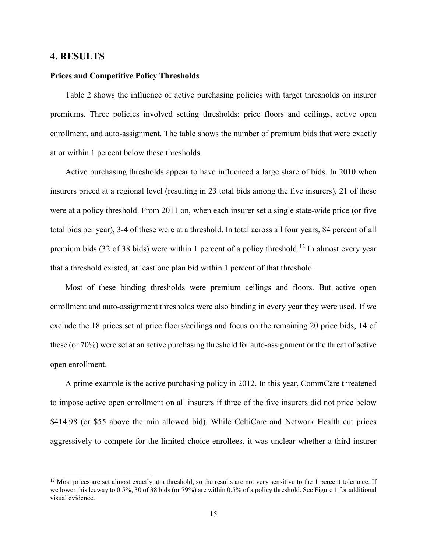#### **4. RESULTS**

#### **Prices and Competitive Policy Thresholds**

Table 2 shows the influence of active purchasing policies with target thresholds on insurer premiums. Three policies involved setting thresholds: price floors and ceilings, active open enrollment, and auto-assignment. The table shows the number of premium bids that were exactly at or within 1 percent below these thresholds.

Active purchasing thresholds appear to have influenced a large share of bids. In 2010 when insurers priced at a regional level (resulting in 23 total bids among the five insurers), 21 of these were at a policy threshold. From 2011 on, when each insurer set a single state-wide price (or five total bids per year), 3-4 of these were at a threshold. In total across all four years, 84 percent of all premium bids (32 of 38 bids) were within 1 percent of a policy threshold.<sup>[12](#page-14-0)</sup> In almost every year that a threshold existed, at least one plan bid within 1 percent of that threshold.

Most of these binding thresholds were premium ceilings and floors. But active open enrollment and auto-assignment thresholds were also binding in every year they were used. If we exclude the 18 prices set at price floors/ceilings and focus on the remaining 20 price bids, 14 of these (or 70%) were set at an active purchasing threshold for auto-assignment or the threat of active open enrollment.

A prime example is the active purchasing policy in 2012. In this year, CommCare threatened to impose active open enrollment on all insurers if three of the five insurers did not price below \$414.98 (or \$55 above the min allowed bid). While CeltiCare and Network Health cut prices aggressively to compete for the limited choice enrollees, it was unclear whether a third insurer

<span id="page-14-0"></span> $12$  Most prices are set almost exactly at a threshold, so the results are not very sensitive to the 1 percent tolerance. If we lower this leeway to 0.5%, 30 of 38 bids (or 79%) are within 0.5% of a policy threshold. See Figure 1 for additional visual evidence.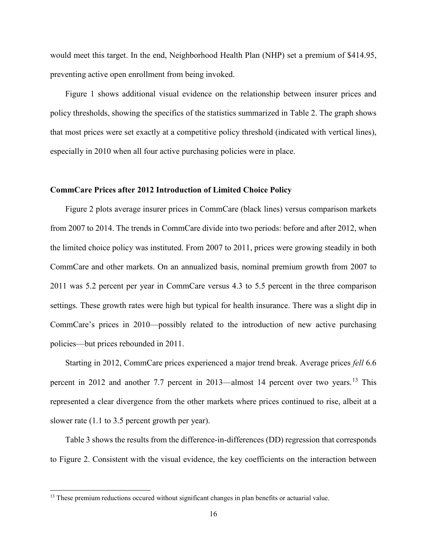would meet this target. In the end, Neighborhood Health Plan (NHP) set a premium of \$414.95, preventing active open enrollment from being invoked.

Figure 1 shows additional visual evidence on the relationship between insurer prices and policy thresholds, showing the specifics of the statistics summarized in Table 2. The graph shows that most prices were set exactly at a competitive policy threshold (indicated with vertical lines), especially in 2010 when all four active purchasing policies were in place.

### **CommCare Prices after 2012 Introduction of Limited Choice Policy**

Figure 2 plots average insurer prices in CommCare (black lines) versus comparison markets from 2007 to 2014. The trends in CommCare divide into two periods: before and after 2012, when the limited choice policy was instituted. From 2007 to 2011, prices were growing steadily in both CommCare and other markets. On an annualized basis, nominal premium growth from 2007 to 2011 was 5.2 percent per year in CommCare versus 4.3 to 5.5 percent in the three comparison settings. These growth rates were high but typical for health insurance. There was a slight dip in CommCare's prices in 2010—possibly related to the introduction of new active purchasing policies—but prices rebounded in 2011.

Starting in 2012, CommCare prices experienced a major trend break. Average prices *fell* 6.6 percent in 2012 and another 7.7 percent in 20[13](#page-15-0)—almost 14 percent over two years.<sup>13</sup> This represented a clear divergence from the other markets where prices continued to rise, albeit at a slower rate (1.1 to 3.5 percent growth per year).

Table 3 shows the results from the difference-in-differences (DD) regression that corresponds to Figure 2. Consistent with the visual evidence, the key coefficients on the interaction between

<span id="page-15-0"></span><sup>&</sup>lt;sup>13</sup> These premium reductions occured without significant changes in plan benefits or actuarial value.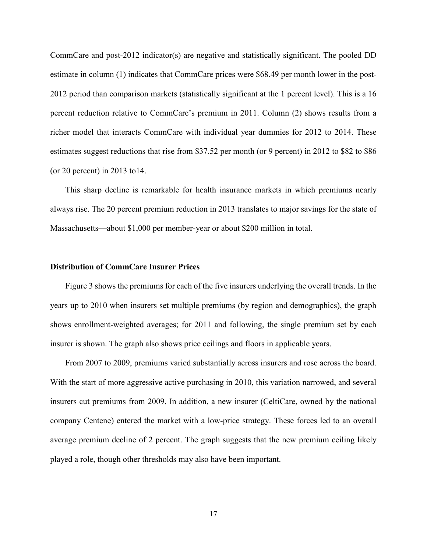CommCare and post-2012 indicator(s) are negative and statistically significant. The pooled DD estimate in column (1) indicates that CommCare prices were \$68.49 per month lower in the post-2012 period than comparison markets (statistically significant at the 1 percent level). This is a 16 percent reduction relative to CommCare's premium in 2011. Column (2) shows results from a richer model that interacts CommCare with individual year dummies for 2012 to 2014. These estimates suggest reductions that rise from \$37.52 per month (or 9 percent) in 2012 to \$82 to \$86 (or 20 percent) in 2013 to  $14$ .

This sharp decline is remarkable for health insurance markets in which premiums nearly always rise. The 20 percent premium reduction in 2013 translates to major savings for the state of Massachusetts—about \$1,000 per member-year or about \$200 million in total.

#### **Distribution of CommCare Insurer Prices**

Figure 3 shows the premiums for each of the five insurers underlying the overall trends. In the years up to 2010 when insurers set multiple premiums (by region and demographics), the graph shows enrollment-weighted averages; for 2011 and following, the single premium set by each insurer is shown. The graph also shows price ceilings and floors in applicable years.

From 2007 to 2009, premiums varied substantially across insurers and rose across the board. With the start of more aggressive active purchasing in 2010, this variation narrowed, and several insurers cut premiums from 2009. In addition, a new insurer (CeltiCare, owned by the national company Centene) entered the market with a low-price strategy. These forces led to an overall average premium decline of 2 percent. The graph suggests that the new premium ceiling likely played a role, though other thresholds may also have been important.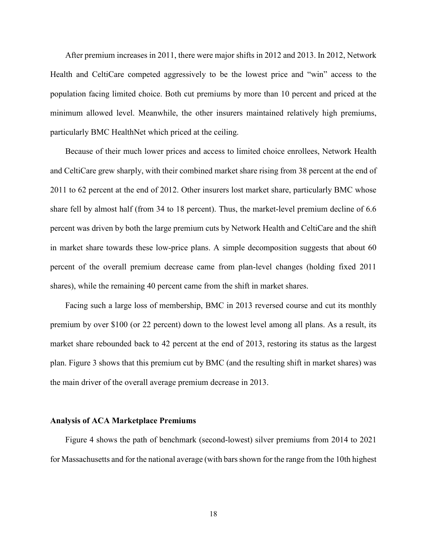After premium increases in 2011, there were major shifts in 2012 and 2013. In 2012, Network Health and CeltiCare competed aggressively to be the lowest price and "win" access to the population facing limited choice. Both cut premiums by more than 10 percent and priced at the minimum allowed level. Meanwhile, the other insurers maintained relatively high premiums, particularly BMC HealthNet which priced at the ceiling.

Because of their much lower prices and access to limited choice enrollees, Network Health and CeltiCare grew sharply, with their combined market share rising from 38 percent at the end of 2011 to 62 percent at the end of 2012. Other insurers lost market share, particularly BMC whose share fell by almost half (from 34 to 18 percent). Thus, the market-level premium decline of 6.6 percent was driven by both the large premium cuts by Network Health and CeltiCare and the shift in market share towards these low-price plans. A simple decomposition suggests that about 60 percent of the overall premium decrease came from plan-level changes (holding fixed 2011 shares), while the remaining 40 percent came from the shift in market shares.

Facing such a large loss of membership, BMC in 2013 reversed course and cut its monthly premium by over \$100 (or 22 percent) down to the lowest level among all plans. As a result, its market share rebounded back to 42 percent at the end of 2013, restoring its status as the largest plan. Figure 3 shows that this premium cut by BMC (and the resulting shift in market shares) was the main driver of the overall average premium decrease in 2013.

#### **Analysis of ACA Marketplace Premiums**

Figure 4 shows the path of benchmark (second-lowest) silver premiums from 2014 to 2021 for Massachusetts and for the national average (with bars shown for the range from the 10th highest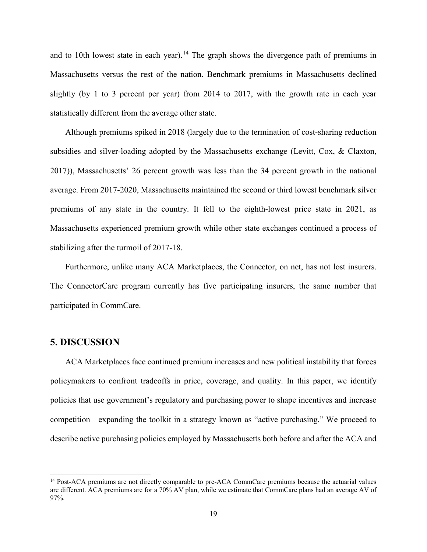and to 10th lowest state in each year).<sup>[14](#page-18-0)</sup> The graph shows the divergence path of premiums in Massachusetts versus the rest of the nation. Benchmark premiums in Massachusetts declined slightly (by 1 to 3 percent per year) from 2014 to 2017, with the growth rate in each year statistically different from the average other state.

Although premiums spiked in 2018 (largely due to the termination of cost-sharing reduction subsidies and silver-loading adopted by the Massachusetts exchange (Levitt, Cox, & Claxton, 2017)), Massachusetts' 26 percent growth was less than the 34 percent growth in the national average. From 2017-2020, Massachusetts maintained the second or third lowest benchmark silver premiums of any state in the country. It fell to the eighth-lowest price state in 2021, as Massachusetts experienced premium growth while other state exchanges continued a process of stabilizing after the turmoil of 2017-18.

Furthermore, unlike many ACA Marketplaces, the Connector, on net, has not lost insurers. The ConnectorCare program currently has five participating insurers, the same number that participated in CommCare.

## **5. DISCUSSION**

ACA Marketplaces face continued premium increases and new political instability that forces policymakers to confront tradeoffs in price, coverage, and quality. In this paper, we identify policies that use government's regulatory and purchasing power to shape incentives and increase competition—expanding the toolkit in a strategy known as "active purchasing." We proceed to describe active purchasing policies employed by Massachusetts both before and after the ACA and

<span id="page-18-0"></span><sup>&</sup>lt;sup>14</sup> Post-ACA premiums are not directly comparable to pre-ACA CommCare premiums because the actuarial values are different. ACA premiums are for a 70% AV plan, while we estimate that CommCare plans had an average AV of 97%.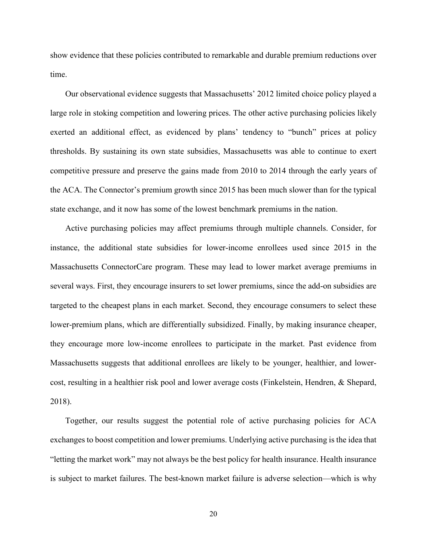show evidence that these policies contributed to remarkable and durable premium reductions over time.

Our observational evidence suggests that Massachusetts' 2012 limited choice policy played a large role in stoking competition and lowering prices. The other active purchasing policies likely exerted an additional effect, as evidenced by plans' tendency to "bunch" prices at policy thresholds. By sustaining its own state subsidies, Massachusetts was able to continue to exert competitive pressure and preserve the gains made from 2010 to 2014 through the early years of the ACA. The Connector's premium growth since 2015 has been much slower than for the typical state exchange, and it now has some of the lowest benchmark premiums in the nation.

Active purchasing policies may affect premiums through multiple channels. Consider, for instance, the additional state subsidies for lower-income enrollees used since 2015 in the Massachusetts ConnectorCare program. These may lead to lower market average premiums in several ways. First, they encourage insurers to set lower premiums, since the add-on subsidies are targeted to the cheapest plans in each market. Second, they encourage consumers to select these lower-premium plans, which are differentially subsidized. Finally, by making insurance cheaper, they encourage more low-income enrollees to participate in the market. Past evidence from Massachusetts suggests that additional enrollees are likely to be younger, healthier, and lowercost, resulting in a healthier risk pool and lower average costs (Finkelstein, Hendren, & Shepard, 2018).

Together, our results suggest the potential role of active purchasing policies for ACA exchanges to boost competition and lower premiums. Underlying active purchasing is the idea that "letting the market work" may not always be the best policy for health insurance. Health insurance is subject to market failures. The best-known market failure is adverse selection—which is why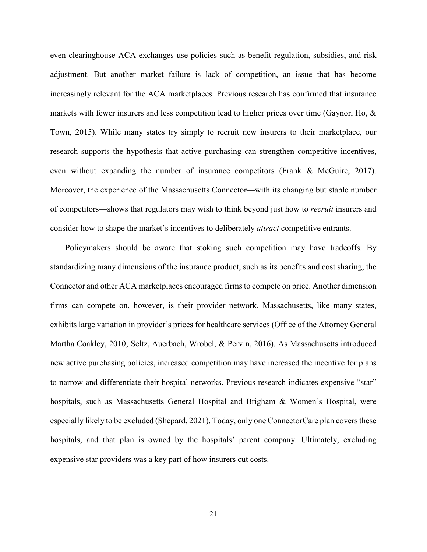even clearinghouse ACA exchanges use policies such as benefit regulation, subsidies, and risk adjustment. But another market failure is lack of competition, an issue that has become increasingly relevant for the ACA marketplaces. Previous research has confirmed that insurance markets with fewer insurers and less competition lead to higher prices over time (Gaynor, Ho, & Town, 2015). While many states try simply to recruit new insurers to their marketplace, our research supports the hypothesis that active purchasing can strengthen competitive incentives, even without expanding the number of insurance competitors (Frank & McGuire, 2017). Moreover, the experience of the Massachusetts Connector—with its changing but stable number of competitors—shows that regulators may wish to think beyond just how to *recruit* insurers and consider how to shape the market's incentives to deliberately *attract* competitive entrants.

Policymakers should be aware that stoking such competition may have tradeoffs. By standardizing many dimensions of the insurance product, such as its benefits and cost sharing, the Connector and other ACA marketplaces encouraged firms to compete on price. Another dimension firms can compete on, however, is their provider network. Massachusetts, like many states, exhibits large variation in provider's prices for healthcare services (Office of the Attorney General Martha Coakley, 2010; Seltz, Auerbach, Wrobel, & Pervin, 2016). As Massachusetts introduced new active purchasing policies, increased competition may have increased the incentive for plans to narrow and differentiate their hospital networks. Previous research indicates expensive "star" hospitals, such as Massachusetts General Hospital and Brigham & Women's Hospital, were especially likely to be excluded (Shepard, 2021). Today, only one ConnectorCare plan covers these hospitals, and that plan is owned by the hospitals' parent company. Ultimately, excluding expensive star providers was a key part of how insurers cut costs.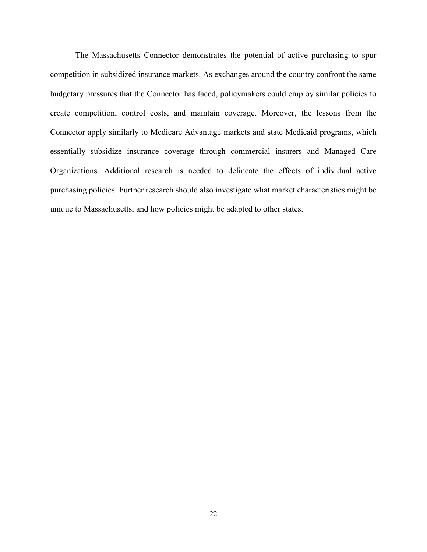The Massachusetts Connector demonstrates the potential of active purchasing to spur competition in subsidized insurance markets. As exchanges around the country confront the same budgetary pressures that the Connector has faced, policymakers could employ similar policies to create competition, control costs, and maintain coverage. Moreover, the lessons from the Connector apply similarly to Medicare Advantage markets and state Medicaid programs, which essentially subsidize insurance coverage through commercial insurers and Managed Care Organizations. Additional research is needed to delineate the effects of individual active purchasing policies. Further research should also investigate what market characteristics might be unique to Massachusetts, and how policies might be adapted to other states.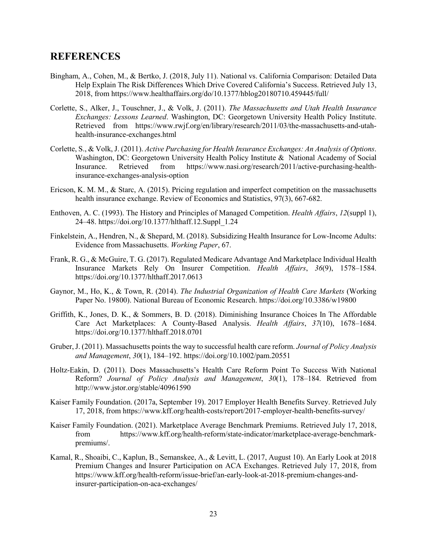## **REFERENCES**

- Bingham, A., Cohen, M., & Bertko, J. (2018, July 11). National vs. California Comparison: Detailed Data Help Explain The Risk Differences Which Drive Covered California's Success. Retrieved July 13, 2018, from https://www.healthaffairs.org/do/10.1377/hblog20180710.459445/full/
- Corlette, S., Alker, J., Touschner, J., & Volk, J. (2011). *The Massachusetts and Utah Health Insurance Exchanges: Lessons Learned*. Washington, DC: Georgetown University Health Policy Institute. Retrieved from https://www.rwjf.org/en/library/research/2011/03/the-massachusetts-and-utahhealth-insurance-exchanges.html
- Corlette, S., & Volk, J. (2011). *Active Purchasing for Health Insurance Exchanges: An Analysis of Options*. Washington, DC: Georgetown University Health Policy Institute & National Academy of Social Insurance. Retrieved from https://www.nasi.org/research/2011/active-purchasing-healthinsurance-exchanges-analysis-option
- Ericson, K. M. M., & Starc, A. (2015). Pricing regulation and imperfect competition on the massachusetts health insurance exchange. Review of Economics and Statistics, 97(3), 667-682.
- Enthoven, A. C. (1993). The History and Principles of Managed Competition. *Health Affairs*, *12*(suppl 1), 24–48. https://doi.org/10.1377/hlthaff.12.Suppl\_1.24
- Finkelstein, A., Hendren, N., & Shepard, M. (2018). Subsidizing Health Insurance for Low-Income Adults: Evidence from Massachusetts. *Working Paper*, 67.
- Frank, R. G., & McGuire, T. G. (2017). Regulated Medicare Advantage And Marketplace Individual Health Insurance Markets Rely On Insurer Competition. *Health Affairs*, *36*(9), 1578–1584. https://doi.org/10.1377/hlthaff.2017.0613
- Gaynor, M., Ho, K., & Town, R. (2014). *The Industrial Organization of Health Care Markets* (Working Paper No. 19800). National Bureau of Economic Research. https://doi.org/10.3386/w19800
- Griffith, K., Jones, D. K., & Sommers, B. D. (2018). Diminishing Insurance Choices In The Affordable Care Act Marketplaces: A County-Based Analysis. *Health Affairs*, *37*(10), 1678–1684. https://doi.org/10.1377/hlthaff.2018.0701
- Gruber, J. (2011). Massachusetts points the way to successful health care reform. *Journal of Policy Analysis and Management*, *30*(1), 184–192. https://doi.org/10.1002/pam.20551
- Holtz-Eakin, D. (2011). Does Massachusetts's Health Care Reform Point To Success With National Reform? *Journal of Policy Analysis and Management*, *30*(1), 178–184. Retrieved from http://www.jstor.org/stable/40961590
- Kaiser Family Foundation. (2017a, September 19). 2017 Employer Health Benefits Survey. Retrieved July 17, 2018, from https://www.kff.org/health-costs/report/2017-employer-health-benefits-survey/
- Kaiser Family Foundation. (2021). Marketplace Average Benchmark Premiums. Retrieved July 17, 2018, from https://www.kff.org/health-reform/state-indicator/marketplace-average-benchmarkpremiums/.
- Kamal, R., Shoaibi, C., Kaplun, B., Semanskee, A., & Levitt, L. (2017, August 10). An Early Look at 2018 Premium Changes and Insurer Participation on ACA Exchanges. Retrieved July 17, 2018, from https://www.kff.org/health-reform/issue-brief/an-early-look-at-2018-premium-changes-andinsurer-participation-on-aca-exchanges/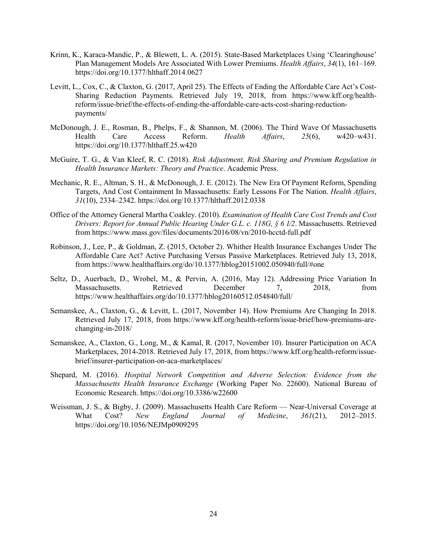- Krinn, K., Karaca-Mandic, P., & Blewett, L. A. (2015). State-Based Marketplaces Using 'Clearinghouse' Plan Management Models Are Associated With Lower Premiums. *Health Affairs*, *34*(1), 161–169. https://doi.org/10.1377/hlthaff.2014.0627
- Levitt, L., Cox, C., & Claxton, G. (2017, April 25). The Effects of Ending the Affordable Care Act's Cost-Sharing Reduction Payments. Retrieved July 19, 2018, from https://www.kff.org/healthreform/issue-brief/the-effects-of-ending-the-affordable-care-acts-cost-sharing-reductionpayments/
- McDonough, J. E., Rosman, B., Phelps, F., & Shannon, M. (2006). The Third Wave Of Massachusetts Health Care Access Reform. *Health Affairs*, *25*(6), w420–w431. https://doi.org/10.1377/hlthaff.25.w420
- McGuire, T. G., & Van Kleef, R. C. (2018). *Risk Adjustment, Risk Sharing and Premium Regulation in Health Insurance Markets: Theory and Practice*. Academic Press.
- Mechanic, R. E., Altman, S. H., & McDonough, J. E. (2012). The New Era Of Payment Reform, Spending Targets, And Cost Containment In Massachusetts: Early Lessons For The Nation. *Health Affairs*, *31*(10), 2334–2342. https://doi.org/10.1377/hlthaff.2012.0338
- Office of the Attorney General Martha Coakley. (2010). *Examination of Health Care Cost Trends and Cost Drivers: Report for Annual Public Hearing Under G.L. c. 118G, § 6 1⁄2*. Massachusetts. Retrieved from https://www.mass.gov/files/documents/2016/08/vn/2010-hcctd-full.pdf
- Robinson, J., Lee, P., & Goldman, Z. (2015, October 2). Whither Health Insurance Exchanges Under The Affordable Care Act? Active Purchasing Versus Passive Marketplaces. Retrieved July 13, 2018, from https://www.healthaffairs.org/do/10.1377/hblog20151002.050940/full/#one
- Seltz, D., Auerbach, D., Wrobel, M., & Pervin, A. (2016, May 12). Addressing Price Variation In Massachusetts. Retrieved December 7, 2018, from https://www.healthaffairs.org/do/10.1377/hblog20160512.054840/full/
- Semanskee, A., Claxton, G., & Levitt, L. (2017, November 14). How Premiums Are Changing In 2018. Retrieved July 17, 2018, from https://www.kff.org/health-reform/issue-brief/how-premiums-arechanging-in-2018/
- Semanskee, A., Claxton, G., Long, M., & Kamal, R. (2017, November 10). Insurer Participation on ACA Marketplaces, 2014-2018. Retrieved July 17, 2018, from https://www.kff.org/health-reform/issuebrief/insurer-participation-on-aca-marketplaces/
- Shepard, M. (2016). *Hospital Network Competition and Adverse Selection: Evidence from the Massachusetts Health Insurance Exchange* (Working Paper No. 22600). National Bureau of Economic Research. https://doi.org/10.3386/w22600
- Weissman, J. S., & Bigby, J. (2009). Massachusetts Health Care Reform Near-Universal Coverage at What Cost? *New England Journal of Medicine*, *361*(21), 2012–2015. https://doi.org/10.1056/NEJMp0909295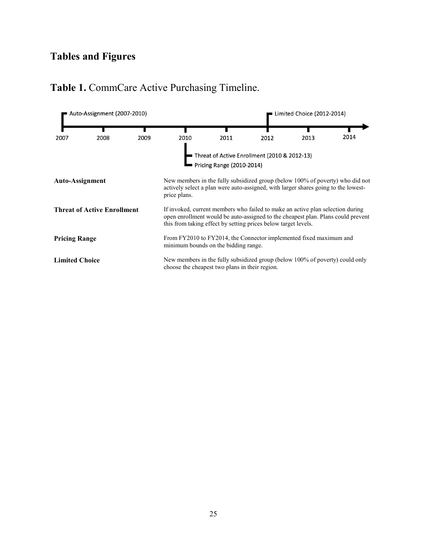# **Tables and Figures**

#### Auto-Assignment (2007-2010) Limited Choice (2012-2014) 2014 2009 2010 2007 2008 2011 2012 2013 Threat of Active Enrollment (2010 & 2012-13) Pricing Range (2010-2014) **Auto-Assignment** New members in the fully subsidized group (below 100% of poverty) who did not actively select a plan were auto-assigned, with larger shares going to the lowestprice plans. **Threat of Active Enrollment** If invoked, current members who failed to make an active plan selection during open enrollment would be auto-assigned to the cheapest plan. Plans could prevent this from taking effect by setting prices below target levels. From FY2010 to FY2014, the Connector implemented fixed maximum and **Pricing Range** minimum bounds on the bidding range. **Limited Choice** New members in the fully subsidized group (below 100% of poverty) could only choose the cheapest two plans in their region.

## **Table 1.** CommCare Active Purchasing Timeline.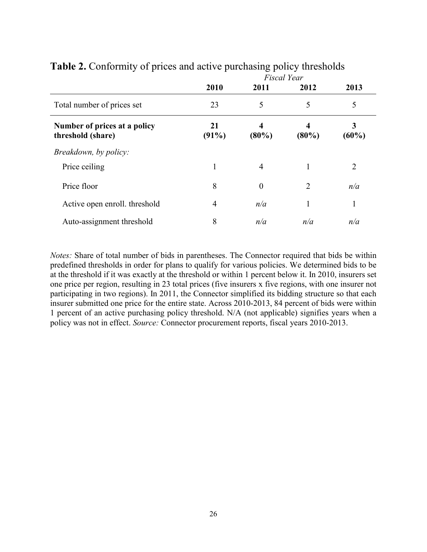|                                                   | <b>Fiscal Year</b> |                  |                |               |
|---------------------------------------------------|--------------------|------------------|----------------|---------------|
|                                                   | 2010               | 2011             | 2012           | 2013          |
| Total number of prices set                        | 23                 | 5                | 5              | 5             |
| Number of prices at a policy<br>threshold (share) | 21<br>$(91\%)$     | $(80\%)$         | 4<br>$(80\%)$  | 3<br>$(60\%)$ |
| Breakdown, by policy:                             |                    |                  |                |               |
| Price ceiling                                     | 1                  | 4                |                | 2             |
| Price floor                                       | 8                  | $\boldsymbol{0}$ | $\overline{2}$ | n/a           |
| Active open enroll. threshold                     | 4                  | n/a              |                | 1             |
| Auto-assignment threshold                         | 8                  | n/a              | n/a            | n/a           |

## **Table 2.** Conformity of prices and active purchasing policy thresholds

*Notes:* Share of total number of bids in parentheses. The Connector required that bids be within predefined thresholds in order for plans to qualify for various policies. We determined bids to be at the threshold if it was exactly at the threshold or within 1 percent below it. In 2010, insurers set one price per region, resulting in 23 total prices (five insurers x five regions, with one insurer not participating in two regions). In 2011, the Connector simplified its bidding structure so that each insurer submitted one price for the entire state. Across 2010-2013, 84 percent of bids were within 1 percent of an active purchasing policy threshold. N/A (not applicable) signifies years when a policy was not in effect. *Source:* Connector procurement reports, fiscal years 2010-2013.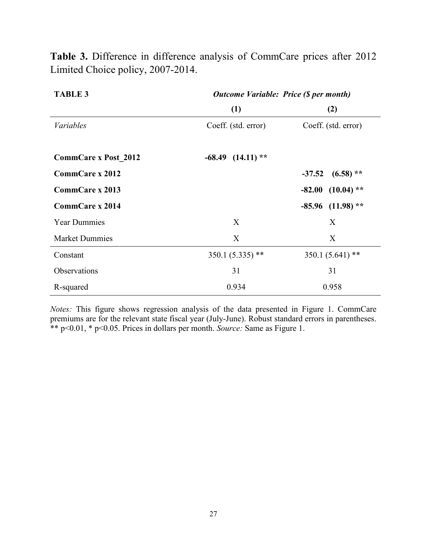| <b>TABLE 3</b>              | <b>Outcome Variable: Price (\$ per month)</b> |                         |  |  |
|-----------------------------|-----------------------------------------------|-------------------------|--|--|
|                             | (1)                                           | (2)                     |  |  |
| <i>Variables</i>            | Coeff. (std. error)                           | Coeff. (std. error)     |  |  |
| <b>CommCare x Post 2012</b> | $-68.49$ $(14.11)$ **                         |                         |  |  |
| <b>CommCare x 2012</b>      |                                               | $(6.58)$ **<br>$-37.52$ |  |  |
| <b>CommCare x 2013</b>      |                                               | $-82.00$ $(10.04)$ **   |  |  |
| <b>CommCare x 2014</b>      |                                               | $-85.96$ (11.98) **     |  |  |
| <b>Year Dummies</b>         | X                                             | X                       |  |  |
| <b>Market Dummies</b>       | X                                             | X                       |  |  |
| Constant                    | $350.1(5.335)$ **                             | 350.1 (5.641)<br>$***$  |  |  |
| Observations                | 31                                            | 31                      |  |  |
| R-squared                   | 0.934                                         | 0.958                   |  |  |

**Table 3.** Difference in difference analysis of CommCare prices after 2012 Limited Choice policy, 2007-2014.

*Notes:* This figure shows regression analysis of the data presented in Figure 1. CommCare premiums are for the relevant state fiscal year (July-June). Robust standard errors in parentheses. \*\* p<0.01, \* p<0.05. Prices in dollars per month. *Source:* Same as Figure 1.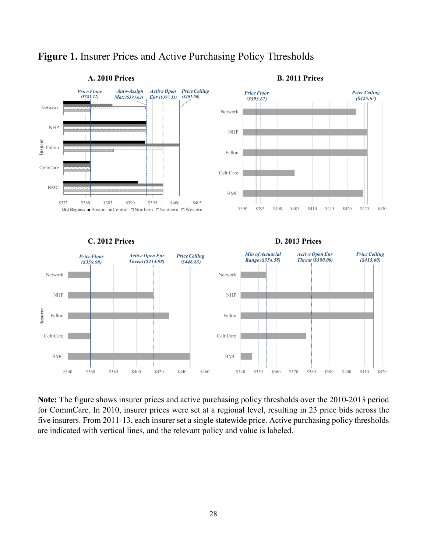

## **Figure 1.** Insurer Prices and Active Purchasing Policy Thresholds

**Note:** The figure shows insurer prices and active purchasing policy thresholds over the 2010-2013 period for CommCare. In 2010, insurer prices were set at a regional level, resulting in 23 price bids across the five insurers. From 2011-13, each insurer set a single statewide price. Active purchasing policy thresholds are indicated with vertical lines, and the relevant policy and value is labeled.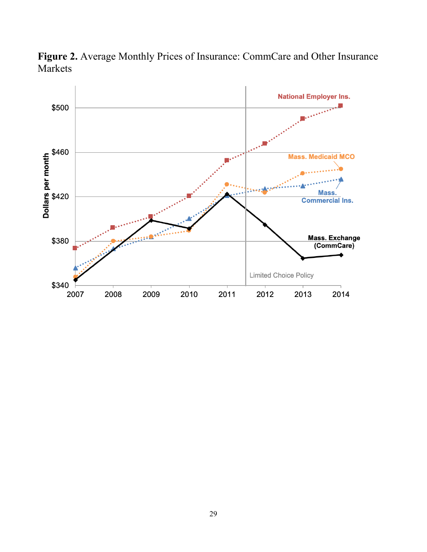

**Figure 2.** Average Monthly Prices of Insurance: CommCare and Other Insurance Markets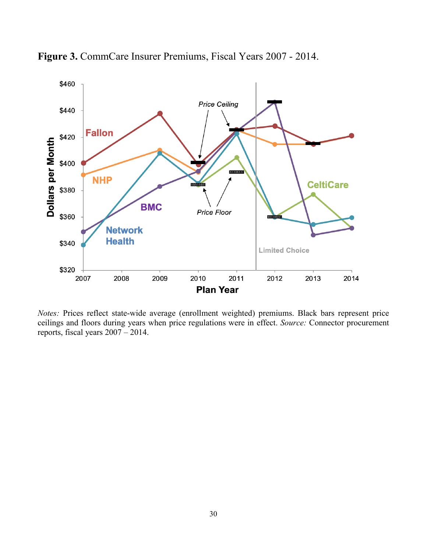

**Figure 3.** CommCare Insurer Premiums, Fiscal Years 2007 - 2014.

*Notes:* Prices reflect state-wide average (enrollment weighted) premiums. Black bars represent price ceilings and floors during years when price regulations were in effect. *Source:* Connector procurement reports, fiscal years 2007 – 2014.